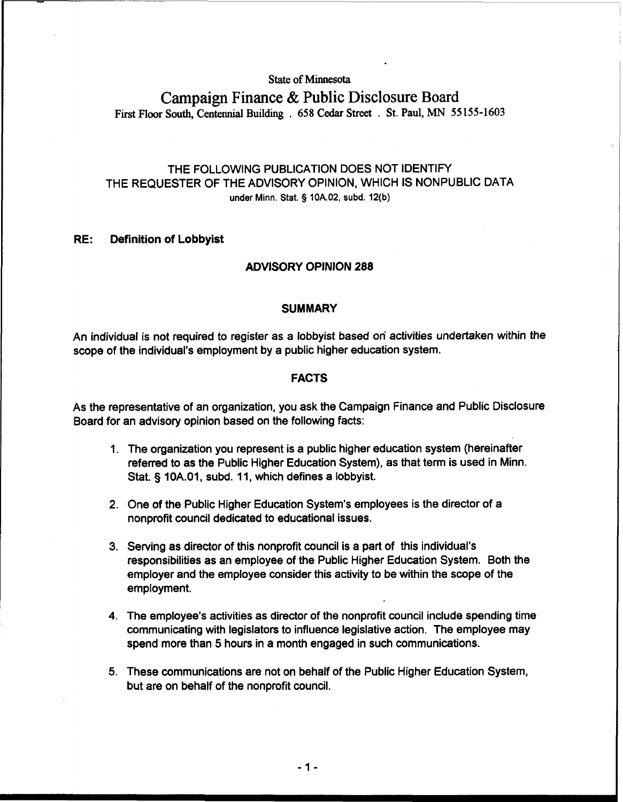#### **State of Minnesota**

# **Campaign Finance** & **Public Disclosure Board First Floor South, Centennial Building** . **658 Cedar Street** . **St. Paul, MN 55 155-1603**

# THE FOLLOWING PUBLICATION DOES NOT IDENTIFY THE REQUESTER OF THE ADVISORY OPINION, WHICH IS NONPUBLIC DATA **under Minn.** Stat. § **10A.02, subd. 12(b)**

## **RE: Definition of Lobbyist**

#### **ADVISORY OPINION 288**

#### **SUMMARY**

An individual is not required to register as a lobbyist based on activities undertaken within the scope of the individual's employment by a public higher education system.

#### **FACTS**

As the representative of an organization, you ask the Campaign Finance and Public Disclosure Board for an advisory opinion based on the following facts:

- 1. The organization you represent is a public higher education system (hereinafter referred to as the Public Higher Education System), as that term is used in Minn. Stat. § 10A.01, subd. 11, which defines a lobbyist.
- 2. One of the Public Higher Education System's employees is the director of a nonprofit council dedicated to educational issues.
- 3. Serving as director of this nonprofit council is a part of this individual's responsibilities as an employee of the Public Higher Education System. Both the employer and the employee consider this activity to be within the scope of the employment.
- 4. The employee's activities as director of the nonprofit council include spending time communicating with legislators to influence legislative action. The employee may spend more than 5 hours in a month engaged in such communications.
- 5. These communications are not on behalf of the Public Higher Education System, but are on behalf of the nonprofit council.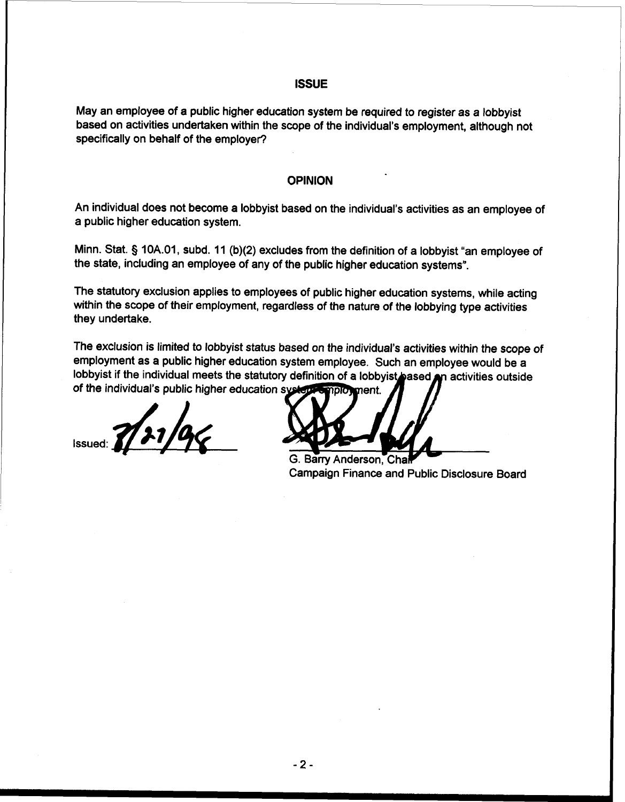# **ISSUE**

May an employee of a public higher education system be required to register as a lobbyist based on activities undertaken within the scope of the individual's employment, although not specifically on behalf of the employer?

# **OPINION**

An individual does not become a lobbyist based on the individual's activities as an employee of a public higher education system.

Minn. Stat. § 10A.01, subd. 11 (b)(2) excludes from the definition of a lobbyist "an employee of the state, including an employee of any of the public higher education systems".

The statutory exclusion applies to employees of public higher education systems, while acting within the scope of their employment, regardless of the nature of the lobbying type activities they undertake.

The exclusion is limited to lobbyist status based on the individual's activities within the scope of employment as a public higher education system employee. Such an employee would be a lobbyist if the individual meets the statutory definition of a lobbyist pased pn activities outside of the individual's public higher education systems apployment.

 $\frac{1}{2}$  1/31/90

G. Barry Anderson, Cha Campaign Finance and Public Disclosure Board